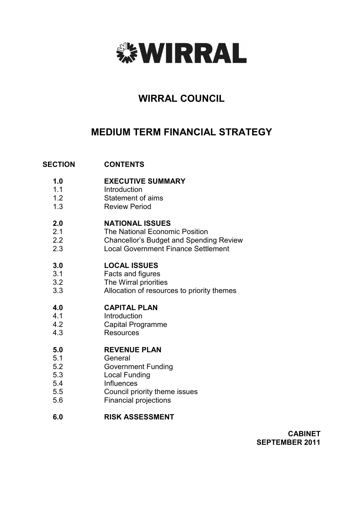

# **WIRRAL COUNCIL**

# **MEDIUM TERM FINANCIAL STRATEGY**

#### **SECTION CONTENTS**

- **1.0 EXECUTIVE SUMMARY**
- 1.1 Introduction
- 1.2 Statement of aims
- 1.3 Review Period

#### **2.0 NATIONAL ISSUES**

- 2.1 The National Economic Position
- 2.2 Chancellor's Budget and Spending Review
- 2.3 Local Government Finance Settlement

#### **3.0 LOCAL ISSUES**

- 3.1 Facts and figures
- 3.2 The Wirral priorities
- 3.3 Allocation of resources to priority themes

#### **4.0 CAPITAL PLAN**

- 4.1 Introduction
- 4.2 Capital Programme
- 4.3 **Resources**

#### **5.0 REVENUE PLAN**

- 5.1 General
- 5.2 Government Funding
- 5.3 Local Funding
- 5.4 **Influences**
- 5.5 Council priority theme issues
- 5.6 Financial projections

#### **6.0 RISK ASSESSMENT**

**CABINET SEPTEMBER 2011**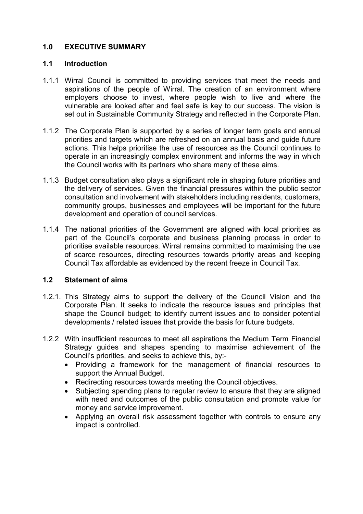# **1.0 EXECUTIVE SUMMARY**

# **1.1 Introduction**

- 1.1.1 Wirral Council is committed to providing services that meet the needs and aspirations of the people of Wirral. The creation of an environment where employers choose to invest, where people wish to live and where the vulnerable are looked after and feel safe is key to our success. The vision is set out in Sustainable Community Strategy and reflected in the Corporate Plan.
- 1.1.2 The Corporate Plan is supported by a series of longer term goals and annual priorities and targets which are refreshed on an annual basis and guide future actions. This helps prioritise the use of resources as the Council continues to operate in an increasingly complex environment and informs the way in which the Council works with its partners who share many of these aims.
- 1.1.3 Budget consultation also plays a significant role in shaping future priorities and the delivery of services. Given the financial pressures within the public sector consultation and involvement with stakeholders including residents, customers, community groups, businesses and employees will be important for the future development and operation of council services.
- 1.1.4 The national priorities of the Government are aligned with local priorities as part of the Council's corporate and business planning process in order to prioritise available resources. Wirral remains committed to maximising the use of scarce resources, directing resources towards priority areas and keeping Council Tax affordable as evidenced by the recent freeze in Council Tax.

# **1.2 Statement of aims**

- 1.2.1. This Strategy aims to support the delivery of the Council Vision and the Corporate Plan. It seeks to indicate the resource issues and principles that shape the Council budget; to identify current issues and to consider potential developments / related issues that provide the basis for future budgets.
- 1.2.2 With insufficient resources to meet all aspirations the Medium Term Financial Strategy guides and shapes spending to maximise achievement of the Council's priorities, and seeks to achieve this, by:-
	- Providing a framework for the management of financial resources to support the Annual Budget.
	- Redirecting resources towards meeting the Council objectives.
	- Subjecting spending plans to regular review to ensure that they are aligned with need and outcomes of the public consultation and promote value for money and service improvement.
	- Applying an overall risk assessment together with controls to ensure any impact is controlled.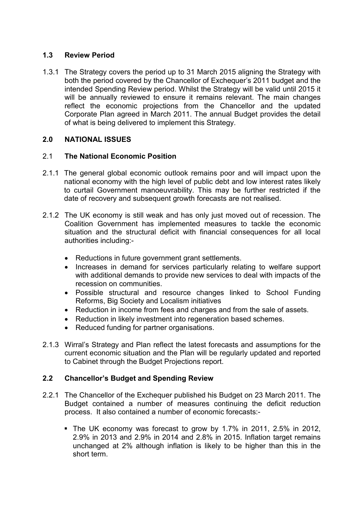# **1.3 Review Period**

1.3.1 The Strategy covers the period up to 31 March 2015 aligning the Strategy with both the period covered by the Chancellor of Exchequer's 2011 budget and the intended Spending Review period. Whilst the Strategy will be valid until 2015 it will be annually reviewed to ensure it remains relevant. The main changes reflect the economic projections from the Chancellor and the updated Corporate Plan agreed in March 2011. The annual Budget provides the detail of what is being delivered to implement this Strategy.

# **2.0 NATIONAL ISSUES**

# 2.1 **The National Economic Position**

- 2.1.1 The general global economic outlook remains poor and will impact upon the national economy with the high level of public debt and low interest rates likely to curtail Government manoeuvrability. This may be further restricted if the date of recovery and subsequent growth forecasts are not realised.
- 2.1.2 The UK economy is still weak and has only just moved out of recession. The Coalition Government has implemented measures to tackle the economic situation and the structural deficit with financial consequences for all local authorities including:-
	- Reductions in future government grant settlements.
	- Increases in demand for services particularly relating to welfare support with additional demands to provide new services to deal with impacts of the recession on communities.
	- Possible structural and resource changes linked to School Funding Reforms, Big Society and Localism initiatives
	- Reduction in income from fees and charges and from the sale of assets.
	- Reduction in likely investment into regeneration based schemes.
	- Reduced funding for partner organisations.
- 2.1.3 Wirral's Strategy and Plan reflect the latest forecasts and assumptions for the current economic situation and the Plan will be regularly updated and reported to Cabinet through the Budget Projections report.

# **2.2 Chancellor's Budget and Spending Review**

- 2.2.1 The Chancellor of the Exchequer published his Budget on 23 March 2011. The Budget contained a number of measures continuing the deficit reduction process. It also contained a number of economic forecasts:-
	- § The UK economy was forecast to grow by 1.7% in 2011, 2.5% in 2012, 2.9% in 2013 and 2.9% in 2014 and 2.8% in 2015. Inflation target remains unchanged at 2% although inflation is likely to be higher than this in the short term.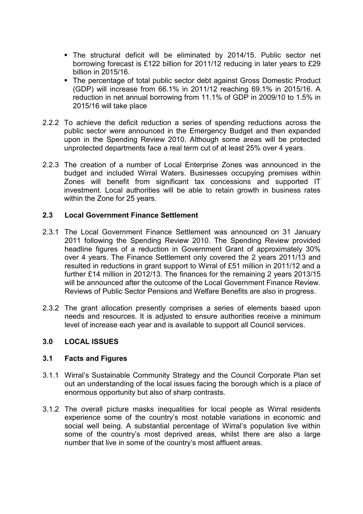- § The structural deficit will be eliminated by 2014/15. Public sector net borrowing forecast is £122 billion for 2011/12 reducing in later years to £29 billion in 2015/16.
- The percentage of total public sector debt against Gross Domestic Product (GDP) will increase from 66.1% in 2011/12 reaching 69.1% in 2015/16. A reduction in net annual borrowing from 11.1% of GDP in 2009/10 to 1.5% in 2015/16 will take place
- 2.2.2 To achieve the deficit reduction a series of spending reductions across the public sector were announced in the Emergency Budget and then expanded upon in the Spending Review 2010. Although some areas will be protected unprotected departments face a real term cut of at least 25% over 4 years.
- 2.2.3 The creation of a number of Local Enterprise Zones was announced in the budget and included Wirral Waters. Businesses occupying premises within Zones will benefit from significant tax concessions and supported IT investment. Local authorities will be able to retain growth in business rates within the Zone for 25 years.

# **2.3 Local Government Finance Settlement**

- 2.3.1 The Local Government Finance Settlement was announced on 31 January 2011 following the Spending Review 2010. The Spending Review provided headline figures of a reduction in Government Grant of approximately 30% over 4 years. The Finance Settlement only covered the 2 years 2011/13 and resulted in reductions in grant support to Wirral of £51 million in 2011/12 and a further £14 million in 2012/13. The finances for the remaining 2 years 2013/15 will be announced after the outcome of the Local Government Finance Review. Reviews of Public Sector Pensions and Welfare Benefits are also in progress.
- 2.3.2 The grant allocation presently comprises a series of elements based upon needs and resources. It is adjusted to ensure authorities receive a minimum level of increase each year and is available to support all Council services.

# **3.0 LOCAL ISSUES**

# **3.1 Facts and Figures**

- 3.1.1 Wirral's Sustainable Community Strategy and the Council Corporate Plan set out an understanding of the local issues facing the borough which is a place of enormous opportunity but also of sharp contrasts.
- 3.1.2 The overall picture masks inequalities for local people as Wirral residents experience some of the country's most notable variations in economic and social well being. A substantial percentage of Wirral's population live within some of the country's most deprived areas, whilst there are also a large number that live in some of the country's most affluent areas.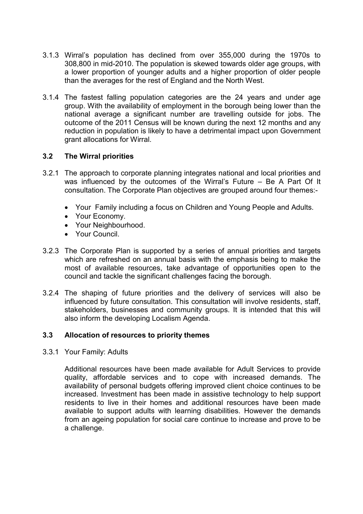- 3.1.3 Wirral's population has declined from over 355,000 during the 1970s to 308,800 in mid-2010. The population is skewed towards older age groups, with a lower proportion of younger adults and a higher proportion of older people than the averages for the rest of England and the North West.
- 3.1.4 The fastest falling population categories are the 24 years and under age group. With the availability of employment in the borough being lower than the national average a significant number are travelling outside for jobs. The outcome of the 2011 Census will be known during the next 12 months and any reduction in population is likely to have a detrimental impact upon Government grant allocations for Wirral.

# **3.2 The Wirral priorities**

- 3.2.1 The approach to corporate planning integrates national and local priorities and was influenced by the outcomes of the Wirral's Future – Be A Part Of It consultation. The Corporate Plan objectives are grouped around four themes:-
	- Your Family including a focus on Children and Young People and Adults.
	- Your Economy.
	- Your Neighbourhood.
	- Your Council.
- 3.2.3 The Corporate Plan is supported by a series of annual priorities and targets which are refreshed on an annual basis with the emphasis being to make the most of available resources, take advantage of opportunities open to the council and tackle the significant challenges facing the borough.
- 3.2.4 The shaping of future priorities and the delivery of services will also be influenced by future consultation. This consultation will involve residents, staff, stakeholders, businesses and community groups. It is intended that this will also inform the developing Localism Agenda.

# **3.3 Allocation of resources to priority themes**

3.3.1 Your Family: Adults

Additional resources have been made available for Adult Services to provide quality, affordable services and to cope with increased demands. The availability of personal budgets offering improved client choice continues to be increased. Investment has been made in assistive technology to help support residents to live in their homes and additional resources have been made available to support adults with learning disabilities. However the demands from an ageing population for social care continue to increase and prove to be a challenge.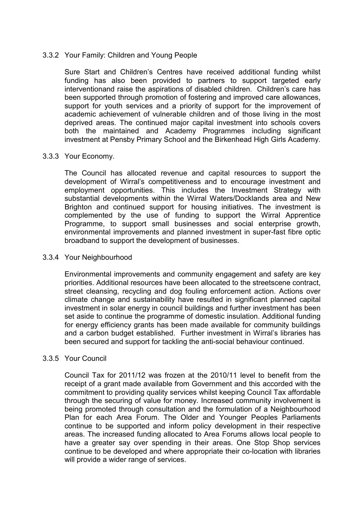### 3.3.2 Your Family: Children and Young People

Sure Start and Children's Centres have received additional funding whilst funding has also been provided to partners to support targeted early interventionand raise the aspirations of disabled children. Children's care has been supported through promotion of fostering and improved care allowances, support for youth services and a priority of support for the improvement of academic achievement of vulnerable children and of those living in the most deprived areas. The continued major capital investment into schools covers both the maintained and Academy Programmes including significant investment at Pensby Primary School and the Birkenhead High Girls Academy.

#### 3.3.3 Your Economy.

The Council has allocated revenue and capital resources to support the development of Wirral's competitiveness and to encourage investment and employment opportunities. This includes the Investment Strategy with substantial developments within the Wirral Waters/Docklands area and New Brighton and continued support for housing initiatives. The investment is complemented by the use of funding to support the Wirral Apprentice Programme, to support small businesses and social enterprise growth, environmental improvements and planned investment in super-fast fibre optic broadband to support the development of businesses.

#### 3.3.4 Your Neighbourhood

Environmental improvements and community engagement and safety are key priorities. Additional resources have been allocated to the streetscene contract, street cleansing, recycling and dog fouling enforcement action. Actions over climate change and sustainability have resulted in significant planned capital investment in solar energy in council buildings and further investment has been set aside to continue the programme of domestic insulation. Additional funding for energy efficiency grants has been made available for community buildings and a carbon budget established. Further investment in Wirral's libraries has been secured and support for tackling the anti-social behaviour continued.

# 3.3.5 Your Council

Council Tax for 2011/12 was frozen at the 2010/11 level to benefit from the receipt of a grant made available from Government and this accorded with the commitment to providing quality services whilst keeping Council Tax affordable through the securing of value for money. Increased community involvement is being promoted through consultation and the formulation of a Neighbourhood Plan for each Area Forum. The Older and Younger Peoples Parliaments continue to be supported and inform policy development in their respective areas. The increased funding allocated to Area Forums allows local people to have a greater say over spending in their areas. One Stop Shop services continue to be developed and where appropriate their co-location with libraries will provide a wider range of services.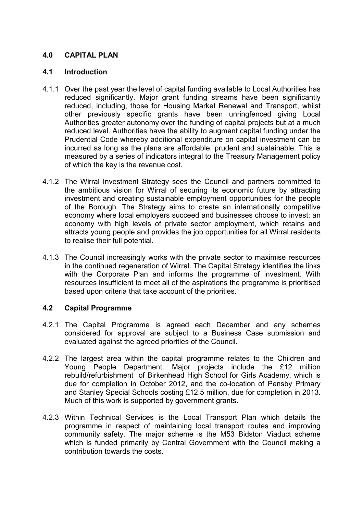# **4.0 CAPITAL PLAN**

### **4.1 Introduction**

- 4.1.1 Over the past year the level of capital funding available to Local Authorities has reduced significantly. Major grant funding streams have been significantly reduced, including, those for Housing Market Renewal and Transport, whilst other previously specific grants have been unringfenced giving Local Authorities greater autonomy over the funding of capital projects but at a much reduced level. Authorities have the ability to augment capital funding under the Prudential Code whereby additional expenditure on capital investment can be incurred as long as the plans are affordable, prudent and sustainable. This is measured by a series of indicators integral to the Treasury Management policy of which the key is the revenue cost.
- 4.1.2 The Wirral Investment Strategy sees the Council and partners committed to the ambitious vision for Wirral of securing its economic future by attracting investment and creating sustainable employment opportunities for the people of the Borough. The Strategy aims to create an internationally competitive economy where local employers succeed and businesses choose to invest; an economy with high levels of private sector employment, which retains and attracts young people and provides the job opportunities for all Wirral residents to realise their full potential.
- 4.1.3 The Council increasingly works with the private sector to maximise resources in the continued regeneration of Wirral. The Capital Strategy identifies the links with the Corporate Plan and informs the programme of investment. With resources insufficient to meet all of the aspirations the programme is prioritised based upon criteria that take account of the priorities.

# **4.2 Capital Programme**

- 4.2.1 The Capital Programme is agreed each December and any schemes considered for approval are subject to a Business Case submission and evaluated against the agreed priorities of the Council.
- 4.2.2 The largest area within the capital programme relates to the Children and Young People Department. Major projects include the £12 million rebuild/refurbishment of Birkenhead High School for Girls Academy, which is due for completion in October 2012, and the co-location of Pensby Primary and Stanley Special Schools costing £12.5 million, due for completion in 2013. Much of this work is supported by government grants.
- 4.2.3 Within Technical Services is the Local Transport Plan which details the programme in respect of maintaining local transport routes and improving community safety. The major scheme is the M53 Bidston Viaduct scheme which is funded primarily by Central Government with the Council making a contribution towards the costs.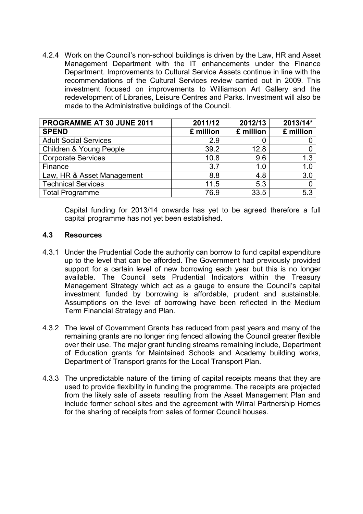4.2.4 Work on the Council's non-school buildings is driven by the Law, HR and Asset Management Department with the IT enhancements under the Finance Department. Improvements to Cultural Service Assets continue in line with the recommendations of the Cultural Services review carried out in 2009. This investment focused on improvements to Williamson Art Gallery and the redevelopment of Libraries, Leisure Centres and Parks. Investment will also be made to the Administrative buildings of the Council.

| PROGRAMME AT 30 JUNE 2011    | 2011/12   | 2012/13   | 2013/14*  |
|------------------------------|-----------|-----------|-----------|
| <b>SPEND</b>                 | £ million | £ million | £ million |
| <b>Adult Social Services</b> | 2.9       |           |           |
| Children & Young People      | 39.2      | 12.8      |           |
| <b>Corporate Services</b>    | 10.8      | 9.6       | 1.3       |
| Finance                      | 3.7       | 1.0       | 1.0       |
| Law, HR & Asset Management   | 8.8       | 4.8       | 3.0       |
| <b>Technical Services</b>    | 11.5      | 5.3       |           |
| <b>Total Programme</b>       | 76.9      | 33.5      | 5.3       |

Capital funding for 2013/14 onwards has yet to be agreed therefore a full capital programme has not yet been established.

# **4.3 Resources**

- 4.3.1 Under the Prudential Code the authority can borrow to fund capital expenditure up to the level that can be afforded. The Government had previously provided support for a certain level of new borrowing each year but this is no longer available. The Council sets Prudential Indicators within the Treasury Management Strategy which act as a gauge to ensure the Council's capital investment funded by borrowing is affordable, prudent and sustainable. Assumptions on the level of borrowing have been reflected in the Medium Term Financial Strategy and Plan.
- 4.3.2 The level of Government Grants has reduced from past years and many of the remaining grants are no longer ring fenced allowing the Council greater flexible over their use. The major grant funding streams remaining include, Department of Education grants for Maintained Schools and Academy building works, Department of Transport grants for the Local Transport Plan.
- 4.3.3 The unpredictable nature of the timing of capital receipts means that they are used to provide flexibility in funding the programme. The receipts are projected from the likely sale of assets resulting from the Asset Management Plan and include former school sites and the agreement with Wirral Partnership Homes for the sharing of receipts from sales of former Council houses.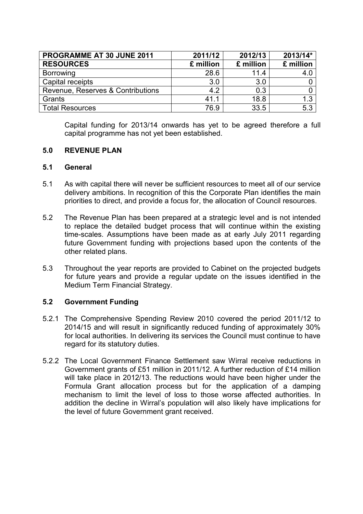| PROGRAMME AT 30 JUNE 2011         | 2011/12   | 2012/13   | 2013/14*  |
|-----------------------------------|-----------|-----------|-----------|
| <b>RESOURCES</b>                  | £ million | £ million | £ million |
| <b>Borrowing</b>                  | 28.6      | 11.4      | 4.C       |
| Capital receipts                  | 3.0       | 3.0       |           |
| Revenue, Reserves & Contributions | 4.2       | 0.3       |           |
| Grants                            | 41.1      | 18.8      | 1.3       |
| <b>Total Resources</b>            | 76.9      | 33.5      | 5.3       |

Capital funding for 2013/14 onwards has yet to be agreed therefore a full capital programme has not yet been established.

# **5.0 REVENUE PLAN**

### **5.1 General**

- 5.1 As with capital there will never be sufficient resources to meet all of our service delivery ambitions. In recognition of this the Corporate Plan identifies the main priorities to direct, and provide a focus for, the allocation of Council resources.
- 5.2 The Revenue Plan has been prepared at a strategic level and is not intended to replace the detailed budget process that will continue within the existing time-scales. Assumptions have been made as at early July 2011 regarding future Government funding with projections based upon the contents of the other related plans.
- 5.3 Throughout the year reports are provided to Cabinet on the projected budgets for future years and provide a regular update on the issues identified in the Medium Term Financial Strategy.

# **5.2 Government Funding**

- 5.2.1 The Comprehensive Spending Review 2010 covered the period 2011/12 to 2014/15 and will result in significantly reduced funding of approximately 30% for local authorities. In delivering its services the Council must continue to have regard for its statutory duties.
- 5.2.2 The Local Government Finance Settlement saw Wirral receive reductions in Government grants of £51 million in 2011/12. A further reduction of £14 million will take place in 2012/13. The reductions would have been higher under the Formula Grant allocation process but for the application of a damping mechanism to limit the level of loss to those worse affected authorities. In addition the decline in Wirral's population will also likely have implications for the level of future Government grant received.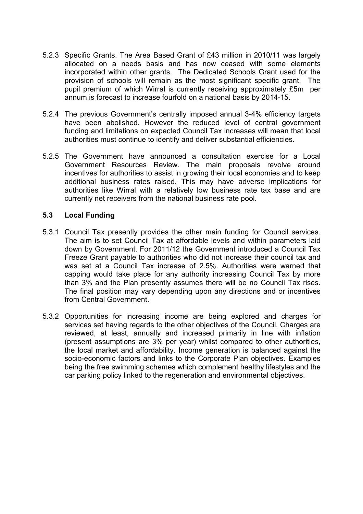- 5.2.3 Specific Grants. The Area Based Grant of £43 million in 2010/11 was largely allocated on a needs basis and has now ceased with some elements incorporated within other grants. The Dedicated Schools Grant used for the provision of schools will remain as the most significant specific grant. The pupil premium of which Wirral is currently receiving approximately £5m per annum is forecast to increase fourfold on a national basis by 2014-15.
- 5.2.4 The previous Government's centrally imposed annual 3-4% efficiency targets have been abolished. However the reduced level of central government funding and limitations on expected Council Tax increases will mean that local authorities must continue to identify and deliver substantial efficiencies.
- 5.2.5 The Government have announced a consultation exercise for a Local Government Resources Review. The main proposals revolve around incentives for authorities to assist in growing their local economies and to keep additional business rates raised. This may have adverse implications for authorities like Wirral with a relatively low business rate tax base and are currently net receivers from the national business rate pool.

# **5.3 Local Funding**

- 5.3.1 Council Tax presently provides the other main funding for Council services. The aim is to set Council Tax at affordable levels and within parameters laid down by Government. For 2011/12 the Government introduced a Council Tax Freeze Grant payable to authorities who did not increase their council tax and was set at a Council Tax increase of 2.5%. Authorities were warned that capping would take place for any authority increasing Council Tax by more than 3% and the Plan presently assumes there will be no Council Tax rises. The final position may vary depending upon any directions and or incentives from Central Government.
- 5.3.2 Opportunities for increasing income are being explored and charges for services set having regards to the other objectives of the Council. Charges are reviewed, at least, annually and increased primarily in line with inflation (present assumptions are 3% per year) whilst compared to other authorities, the local market and affordability. Income generation is balanced against the socio-economic factors and links to the Corporate Plan objectives. Examples being the free swimming schemes which complement healthy lifestyles and the car parking policy linked to the regeneration and environmental objectives.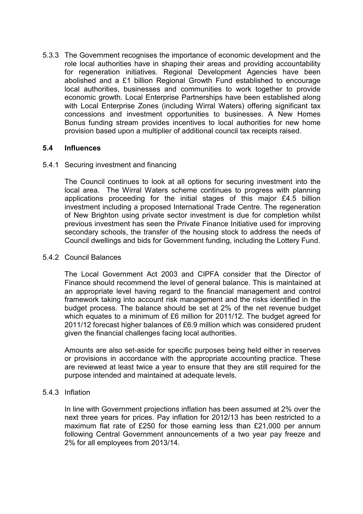5.3.3 The Government recognises the importance of economic development and the role local authorities have in shaping their areas and providing accountability for regeneration initiatives. Regional Development Agencies have been abolished and a £1 billion Regional Growth Fund established to encourage local authorities, businesses and communities to work together to provide economic growth. Local Enterprise Partnerships have been established along with Local Enterprise Zones (including Wirral Waters) offering significant tax concessions and investment opportunities to businesses. A New Homes Bonus funding stream provides incentives to local authorities for new home provision based upon a multiplier of additional council tax receipts raised.

# **5.4 Influences**

#### 5.4.1 Securing investment and financing

The Council continues to look at all options for securing investment into the local area. The Wirral Waters scheme continues to progress with planning applications proceeding for the initial stages of this major £4.5 billion investment including a proposed International Trade Centre. The regeneration of New Brighton using private sector investment is due for completion whilst previous investment has seen the Private Finance Initiative used for improving secondary schools, the transfer of the housing stock to address the needs of Council dwellings and bids for Government funding, including the Lottery Fund.

#### 5.4.2 Council Balances

The Local Government Act 2003 and CIPFA consider that the Director of Finance should recommend the level of general balance. This is maintained at an appropriate level having regard to the financial management and control framework taking into account risk management and the risks identified in the budget process. The balance should be set at 2% of the net revenue budget which equates to a minimum of £6 million for 2011/12. The budget agreed for 2011/12 forecast higher balances of £6.9 million which was considered prudent given the financial challenges facing local authorities.

Amounts are also set-aside for specific purposes being held either in reserves or provisions in accordance with the appropriate accounting practice. These are reviewed at least twice a year to ensure that they are still required for the purpose intended and maintained at adequate levels.

#### 5.4.3 Inflation

In line with Government projections inflation has been assumed at 2% over the next three years for prices. Pay inflation for 2012/13 has been restricted to a maximum flat rate of £250 for those earning less than £21,000 per annum following Central Government announcements of a two year pay freeze and 2% for all employees from 2013/14.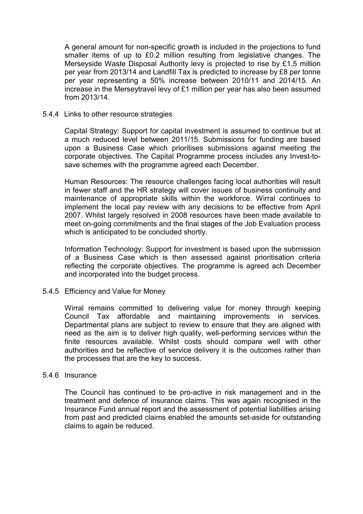A general amount for non-specific growth is included in the projections to fund smaller items of up to £0.2 million resulting from legislative changes. The Merseyside Waste Disposal Authority levy is projected to rise by £1.5 million per year from 2013/14 and Landfill Tax is predicted to increase by £8 per tonne per year representing a 50% increase between 2010/11 and 2014/15. An increase in the Merseytravel levy of £1 million per year has also been assumed from 2013/14.

#### 5.4.4 Links to other resource strategies

Capital Strategy: Support for capital investment is assumed to continue but at a much reduced level between 2011/15. Submissions for funding are based upon a Business Case which prioritises submissions against meeting the corporate objectives. The Capital Programme process includes any Invest-tosave schemes with the programme agreed each December.

Human Resources: The resource challenges facing local authorities will result in fewer staff and the HR strategy will cover issues of business continuity and maintenance of appropriate skills within the workforce. Wirral continues to implement the local pay review with any decisions to be effective from April 2007. Whilst largely resolved in 2008 resources have been made available to meet on-going commitments and the final stages of the Job Evaluation process which is anticipated to be concluded shortly.

Information Technology: Support for investment is based upon the submission of a Business Case which is then assessed against prioritisation criteria reflecting the corporate objectives. The programme is agreed ach December and incorporated into the budget process.

#### 5.4.5 Efficiency and Value for Money

Wirral remains committed to delivering value for money through keeping Council Tax affordable and maintaining improvements in services. Departmental plans are subject to review to ensure that they are aligned with need as the aim is to deliver high quality, well-performing services within the finite resources available. Whilst costs should compare well with other authorities and be reflective of service delivery it is the outcomes rather than the processes that are the key to success.

#### 5.4.6 Insurance

The Council has continued to be pro-active in risk management and in the treatment and defence of insurance claims. This was again recognised in the Insurance Fund annual report and the assessment of potential liabilities arising from past and predicted claims enabled the amounts set-aside for outstanding claims to again be reduced.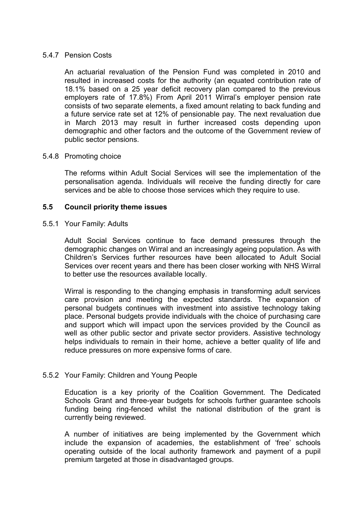### 5.4.7 Pension Costs

An actuarial revaluation of the Pension Fund was completed in 2010 and resulted in increased costs for the authority (an equated contribution rate of 18.1% based on a 25 year deficit recovery plan compared to the previous employers rate of 17.8%) From April 2011 Wirral's employer pension rate consists of two separate elements, a fixed amount relating to back funding and a future service rate set at 12% of pensionable pay. The next revaluation due in March 2013 may result in further increased costs depending upon demographic and other factors and the outcome of the Government review of public sector pensions.

#### 5.4.8 Promoting choice

The reforms within Adult Social Services will see the implementation of the personalisation agenda. Individuals will receive the funding directly for care services and be able to choose those services which they require to use.

#### **5.5 Council priority theme issues**

#### 5.5.1 Your Family: Adults

Adult Social Services continue to face demand pressures through the demographic changes on Wirral and an increasingly ageing population. As with Children's Services further resources have been allocated to Adult Social Services over recent years and there has been closer working with NHS Wirral to better use the resources available locally.

Wirral is responding to the changing emphasis in transforming adult services care provision and meeting the expected standards. The expansion of personal budgets continues with investment into assistive technology taking place. Personal budgets provide individuals with the choice of purchasing care and support which will impact upon the services provided by the Council as well as other public sector and private sector providers. Assistive technology helps individuals to remain in their home, achieve a better quality of life and reduce pressures on more expensive forms of care.

# 5.5.2 Your Family: Children and Young People

Education is a key priority of the Coalition Government. The Dedicated Schools Grant and three-year budgets for schools further guarantee schools funding being ring-fenced whilst the national distribution of the grant is currently being reviewed.

A number of initiatives are being implemented by the Government which include the expansion of academies, the establishment of 'free' schools operating outside of the local authority framework and payment of a pupil premium targeted at those in disadvantaged groups.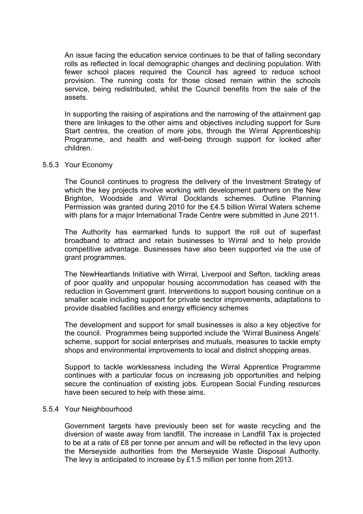An issue facing the education service continues to be that of falling secondary rolls as reflected in local demographic changes and declining population. With fewer school places required the Council has agreed to reduce school provision. The running costs for those closed remain within the schools service, being redistributed, whilst the Council benefits from the sale of the assets.

In supporting the raising of aspirations and the narrowing of the attainment gap there are linkages to the other aims and objectives including support for Sure Start centres, the creation of more jobs, through the Wirral Apprenticeship Programme, and health and well-being through support for looked after children.

#### 5.5.3 Your Economy

The Council continues to progress the delivery of the Investment Strategy of which the key projects involve working with development partners on the New Brighton, Woodside and Wirral Docklands schemes. Outline Planning Permission was granted during 2010 for the £4.5 billion Wirral Waters scheme with plans for a major International Trade Centre were submitted in June 2011.

The Authority has earmarked funds to support the roll out of superfast broadband to attract and retain businesses to Wirral and to help provide competitive advantage. Businesses have also been supported via the use of grant programmes.

The NewHeartlands Initiative with Wirral, Liverpool and Sefton, tackling areas of poor quality and unpopular housing accommodation has ceased with the reduction in Government grant. Interventions to support housing continue on a smaller scale including support for private sector improvements, adaptations to provide disabled facilities and energy efficiency schemes

The development and support for small businesses is also a key objective for the council. Programmes being supported include the 'Wirral Business Angels' scheme, support for social enterprises and mutuals, measures to tackle empty shops and environmental improvements to local and district shopping areas.

Support to tackle worklessness including the Wirral Apprentice Programme continues with a particular focus on increasing job opportunities and helping secure the continuation of existing jobs. European Social Funding resources have been secured to help with these aims.

#### 5.5.4 Your Neighbourhood

Government targets have previously been set for waste recycling and the diversion of waste away from landfill. The increase in Landfill Tax is projected to be at a rate of £8 per tonne per annum and will be reflected in the levy upon the Merseyside authorities from the Merseyside Waste Disposal Authority. The levy is anticipated to increase by £1.5 million per tonne from 2013.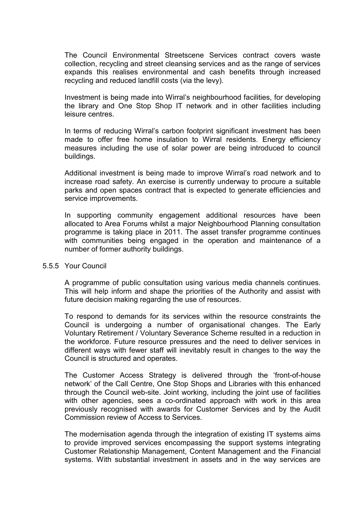The Council Environmental Streetscene Services contract covers waste collection, recycling and street cleansing services and as the range of services expands this realises environmental and cash benefits through increased recycling and reduced landfill costs (via the levy).

Investment is being made into Wirral's neighbourhood facilities, for developing the library and One Stop Shop IT network and in other facilities including leisure centres.

In terms of reducing Wirral's carbon footprint significant investment has been made to offer free home insulation to Wirral residents. Energy efficiency measures including the use of solar power are being introduced to council buildings.

Additional investment is being made to improve Wirral's road network and to increase road safety. An exercise is currently underway to procure a suitable parks and open spaces contract that is expected to generate efficiencies and service improvements.

In supporting community engagement additional resources have been allocated to Area Forums whilst a major Neighbourhood Planning consultation programme is taking place in 2011. The asset transfer programme continues with communities being engaged in the operation and maintenance of a number of former authority buildings.

#### 5.5.5 Your Council

A programme of public consultation using various media channels continues. This will help inform and shape the priorities of the Authority and assist with future decision making regarding the use of resources.

To respond to demands for its services within the resource constraints the Council is undergoing a number of organisational changes. The Early Voluntary Retirement / Voluntary Severance Scheme resulted in a reduction in the workforce. Future resource pressures and the need to deliver services in different ways with fewer staff will inevitably result in changes to the way the Council is structured and operates.

The Customer Access Strategy is delivered through the 'front-of-house network' of the Call Centre, One Stop Shops and Libraries with this enhanced through the Council web-site. Joint working, including the joint use of facilities with other agencies, sees a co-ordinated approach with work in this area previously recognised with awards for Customer Services and by the Audit Commission review of Access to Services.

The modernisation agenda through the integration of existing IT systems aims to provide improved services encompassing the support systems integrating Customer Relationship Management, Content Management and the Financial systems. With substantial investment in assets and in the way services are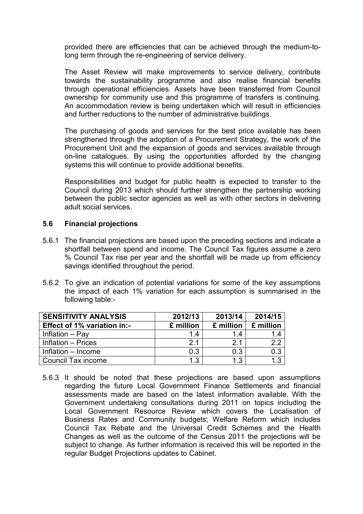provided there are efficiencies that can be achieved through the medium-tolong term through the re-engineering of service delivery.

The Asset Review will make improvements to service delivery, contribute towards the sustainability programme and also realise financial benefits through operational efficiencies. Assets have been transferred from Council ownership for community use and this programme of transfers is continuing. An accommodation review is being undertaken which will result in efficiencies and further reductions to the number of administrative buildings.

The purchasing of goods and services for the best price available has been strengthened through the adoption of a Procurement Strategy, the work of the Procurement Unit and the expansion of goods and services available through on-line catalogues. By using the opportunities afforded by the changing systems this will continue to provide additional benefits.

Responsibilities and budget for public health is expected to transfer to the Council during 2013 which should further strengthen the partnership working between the public sector agencies as well as with other sectors in delivering adult social services.

# **5.6 Financial projections**

- 5.6.1 The financial projections are based upon the preceding sections and indicate a shortfall between spend and income. The Council Tax figures assume a zero % Council Tax rise per year and the shortfall will be made up from efficiency savings identified throughout the period.
- 5.6.2 To give an indication of potential variations for some of the key assumptions the impact of each 1% variation for each assumption is summarised in the following table:-

| <b>SENSITIVITY ANALYSIS</b> | 2012/13        | 2013/14   | 2014/15   |
|-----------------------------|----------------|-----------|-----------|
| Effect of 1% variation in:- | £ million      | £ million | £ million |
| Inflation - Pay             | 14             | 14        | 1.4       |
| Inflation - Prices          | 2 <sub>1</sub> | 2.1       | 2.2       |
| Inflation - Income          | 0.3            | 0.3       | 0.3       |
| Council Tax income          | 1.3            | 1.3       | 1.3       |

5.6.3 It should be noted that these projections are based upon assumptions regarding the future Local Government Finance Settlements and financial assessments made are based on the latest information available. With the Government undertaking consultations during 2011 on topics including the Local Government Resource Review which covers the Localisation of Business Rates and Community budgets; Welfare Reform which includes Council Tax Rebate and the Universal Credit Schemes and the Health Changes as well as the outcome of the Census 2011 the projections will be subject to change. As further information is received this will be reported in the regular Budget Projections updates to Cabinet.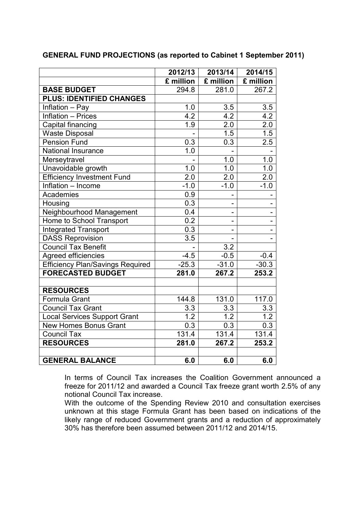|                                         | 2012/13          | 2013/14                  | 2014/15                  |
|-----------------------------------------|------------------|--------------------------|--------------------------|
|                                         | £ million        | £ million                | £ million                |
| <b>BASE BUDGET</b>                      | 294.8            | 281.0                    | 267.2                    |
| <b>PLUS: IDENTIFIED CHANGES</b>         |                  |                          |                          |
| Inflation - Pay                         | 1.0              | 3.5                      | 3.5                      |
| <b>Inflation - Prices</b>               | 4.2              | 4.2                      | 4.2                      |
| Capital financing                       | 1.9              | 2.0                      | 2.0                      |
| <b>Waste Disposal</b>                   |                  | 1.5                      | $\overline{1.5}$         |
| <b>Pension Fund</b>                     | 0.3              | 0.3                      | 2.5                      |
| <b>National Insurance</b>               | 1.0              |                          |                          |
| Merseytravel                            |                  | 1.0                      | 1.0                      |
| Unavoidable growth                      | 1.0              | 1.0                      | 1.0                      |
| <b>Efficiency Investment Fund</b>       | 2.0              | 2.0                      | 2.0                      |
| Inflation - Income                      | $-1.0$           | $-1.0$                   | $-1.0$                   |
| Academies                               | 0.9              |                          |                          |
| Housing                                 | 0.3              |                          |                          |
| Neighbourhood Management                | 0.4              | $\overline{\phantom{0}}$ | -                        |
| Home to School Transport                | 0.2              |                          | $\overline{\phantom{0}}$ |
| <b>Integrated Transport</b>             | 0.3              |                          |                          |
| <b>DASS Reprovision</b>                 | $\overline{3.5}$ |                          |                          |
| <b>Council Tax Benefit</b>              |                  | 3.2                      |                          |
| <b>Agreed efficiencies</b>              | $-4.5$           | $-0.5$                   | $-0.4$                   |
| <b>Efficiency Plan/Savings Required</b> | $-25.3$          | $-31.0$                  | $-30.3$                  |
| <b>FORECASTED BUDGET</b>                | 281.0            | 267.2                    | 253.2                    |
|                                         |                  |                          |                          |
| <b>RESOURCES</b>                        |                  |                          |                          |
| Formula Grant                           | 144.8            | 131.0                    | 117.0                    |
| <b>Council Tax Grant</b>                | 3.3              | 3.3                      | 3.3                      |
| <b>Local Services Support Grant</b>     | 1.2              | $\overline{1.2}$         | $\overline{1.2}$         |
| New Homes Bonus Grant                   | 0.3              | 0.3                      | 0.3                      |
| <b>Council Tax</b>                      | 131.4            | 131.4                    | 131.4                    |
| <b>RESOURCES</b>                        | 281.0            | 267.2                    | 253.2                    |
|                                         |                  |                          |                          |
| <b>GENERAL BALANCE</b>                  | 6.0              | 6.0                      | 6.0                      |

**GENERAL FUND PROJECTIONS (as reported to Cabinet 1 September 2011)** 

In terms of Council Tax increases the Coalition Government announced a freeze for 2011/12 and awarded a Council Tax freeze grant worth 2.5% of any notional Council Tax increase.

With the outcome of the Spending Review 2010 and consultation exercises unknown at this stage Formula Grant has been based on indications of the likely range of reduced Government grants and a reduction of approximately 30% has therefore been assumed between 2011/12 and 2014/15.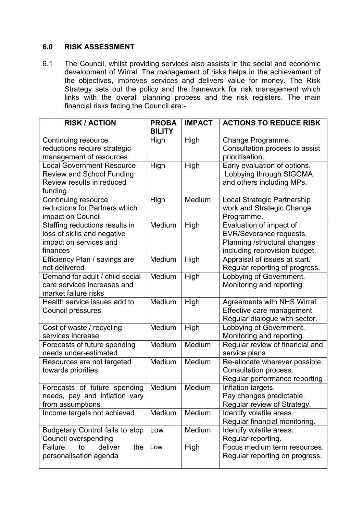# **6.0 RISK ASSESSMENT**

6.1 The Council, whilst providing services also assists in the social and economic development of Wirral. The management of risks helps in the achievement of the objectives, improves services and delivers value for money. The Risk Strategy sets out the policy and the framework for risk management which links with the overall planning process and the risk registers. The main financial risks facing the Council are:-

| <b>RISK / ACTION</b>                   | <b>PROBA</b>  | <b>IMPACT</b> | <b>ACTIONS TO REDUCE RISK</b>   |
|----------------------------------------|---------------|---------------|---------------------------------|
|                                        | <b>BILITY</b> |               |                                 |
| Continuing resource                    | High          | High          | Change Programme.               |
| reductions require strategic           |               |               | Consultation process to assist  |
| management of resources                |               |               | prioritisation.                 |
| <b>Local Government Resource</b>       | High          | High          | Early evaluation of options.    |
| <b>Review and School Funding</b>       |               |               | Lobbying through SIGOMA         |
| Review results in reduced              |               |               | and others including MPs.       |
| funding                                |               |               |                                 |
| Continuing resource                    | High          | Medium        | Local Strategic Partnership     |
| reductions for Partners which          |               |               | work and Strategic Change       |
| impact on Council                      |               |               | Programme.                      |
| Staffing reductions results in         | Medium        | High          | Evaluation of impact of         |
| loss of skills and negative            |               |               | EVR/Severance requests.         |
| impact on services and                 |               |               | Planning /structural changes    |
| finances                               |               |               | including reprovision budget.   |
| Efficiency Plan / savings are          | Medium        | High          | Appraisal of issues at start.   |
| not delivered                          |               |               | Regular reporting of progress.  |
| Demand for adult / child social        | Medium        | High          | Lobbying of Government.         |
| care services increases and            |               |               | Monitoring and reporting.       |
| market failure risks                   |               |               |                                 |
| Health service issues add to           | Medium        | High          | Agreements with NHS Wirral.     |
| Council pressures                      |               |               | Effective care management.      |
|                                        |               |               | Regular dialogue with sector.   |
| Cost of waste / recycling              | Medium        | High          | Lobbying of Government.         |
| services increase                      |               |               | Monitoring and reporting.       |
| Forecasts of future spending           | Medium        | Medium        | Regular review of financial and |
| needs under-estimated                  |               |               | service plans.                  |
| Resources are not targeted             | Medium        | Medium        | Re-allocate wherever possible.  |
| towards priorities                     |               |               | Consultation process.           |
|                                        |               |               | Regular performance reporting   |
| Forecasts of future spending           | Medium        | Medium        | Inflation targets.              |
| needs, pay and inflation vary          |               |               | Pay changes predictable.        |
| from assumptions                       |               |               | Regular review of Strategy.     |
| Income targets not achieved            | Medium        | Medium        | Identify volatile areas.        |
|                                        |               |               | Regular financial monitoring.   |
| <b>Budgetary Control fails to stop</b> | Low           | Medium        | Identify volatile areas.        |
| Council overspending                   |               |               | Regular reporting.              |
| Failure<br>deliver<br>the<br>to        | Low           | High          | Focus medium term resources.    |
| personalisation agenda                 |               |               | Regular reporting on progress.  |
|                                        |               |               |                                 |